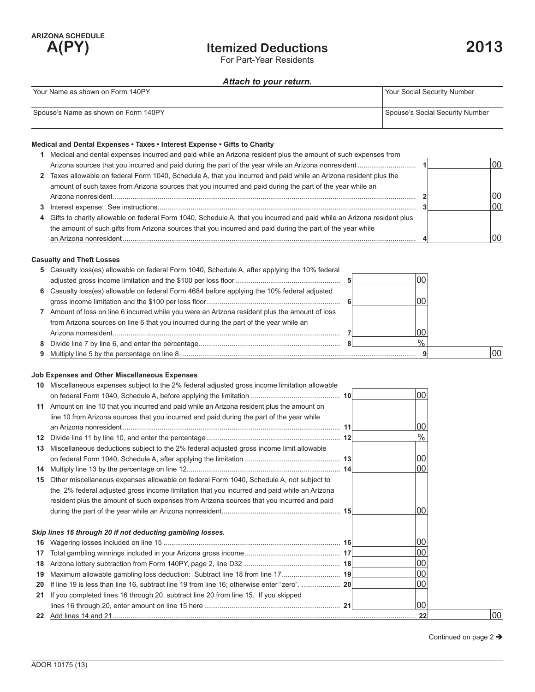

# **Itemized Deductions 2013**

For Part-Year Residents

# *Attach to your return.*

| Your Name as shown on Form 140PY     | Your Social Security Number     |
|--------------------------------------|---------------------------------|
| Spouse's Name as shown on Form 140PY | Spouse's Social Security Number |

## **Medical and Dental Expenses • Taxes • Interest Expense • Gifts to Charity**

| 1 Medical and dental expenses incurred and paid while an Arizona resident plus the amount of such expenses from          |  |    |
|--------------------------------------------------------------------------------------------------------------------------|--|----|
|                                                                                                                          |  | OC |
| 2 Taxes allowable on federal Form 1040, Schedule A, that you incurred and paid while an Arizona resident plus the        |  |    |
| amount of such taxes from Arizona sources that you incurred and paid during the part of the year while an                |  |    |
| Arizona nonresident                                                                                                      |  | OC |
|                                                                                                                          |  | OC |
| 4 Gifts to charity allowable on federal Form 1040, Schedule A, that you incurred and paid while an Arizona resident plus |  |    |
| the amount of such gifts from Arizona sources that you incurred and paid during the part of the year while               |  |    |
| an Arizona nonresident                                                                                                   |  | OC |

#### **Casualty and Theft Losses**

|              | 5 Casualty loss(es) allowable on federal Form 1040, Schedule A, after applying the 10% federal |    |    |  |
|--------------|------------------------------------------------------------------------------------------------|----|----|--|
|              |                                                                                                | 00 |    |  |
|              | 6 Casualty loss(es) allowable on federal Form 4684 before applying the 10% federal adjusted    |    |    |  |
|              |                                                                                                | 00 |    |  |
| $\mathbf{7}$ | Amount of loss on line 6 incurred while you were an Arizona resident plus the amount of loss   |    |    |  |
|              | from Arizona sources on line 6 that you incurred during the part of the year while an          |    |    |  |
|              | Arizona nonresident                                                                            | 00 |    |  |
|              |                                                                                                |    |    |  |
|              |                                                                                                |    | 00 |  |
|              |                                                                                                |    |    |  |

### **Job Expenses and Other Miscellaneous Expenses**

| 10 | Miscellaneous expenses subject to the 2% federal adjusted gross income limitation allowable |      |    |
|----|---------------------------------------------------------------------------------------------|------|----|
|    |                                                                                             | 00   |    |
| 11 | Amount on line 10 that you incurred and paid while an Arizona resident plus the amount on   |      |    |
|    | line 10 from Arizona sources that you incurred and paid during the part of the year while   |      |    |
|    |                                                                                             | 00   |    |
| 12 |                                                                                             | $\%$ |    |
| 13 | Miscellaneous deductions subject to the 2% federal adjusted gross income limit allowable    |      |    |
|    |                                                                                             | 00   |    |
| 14 |                                                                                             | 00   |    |
| 15 | Other miscellaneous expenses allowable on federal Form 1040, Schedule A, not subject to     |      |    |
|    | the 2% federal adjusted gross income limitation that you incurred and paid while an Arizona |      |    |
|    | resident plus the amount of such expenses from Arizona sources that you incurred and paid   |      |    |
|    |                                                                                             | 00   |    |
|    | Skip lines 16 through 20 if not deducting gambling losses.                                  |      |    |
| 16 |                                                                                             | 00   |    |
| 17 |                                                                                             | 00   |    |
| 18 |                                                                                             | 00   |    |
| 19 |                                                                                             | 00   |    |
| 20 |                                                                                             | 00   |    |
| 21 | If you completed lines 16 through 20, subtract line 20 from line 15. If you skipped         |      |    |
|    |                                                                                             | 100  |    |
| 22 |                                                                                             |      | 00 |

Continued on page 2  $\rightarrow$